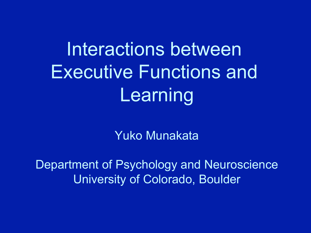# Interactions between Executive Functions and Learning

Yuko Munakata

Department of Psychology and Neuroscience University of Colorado, Boulder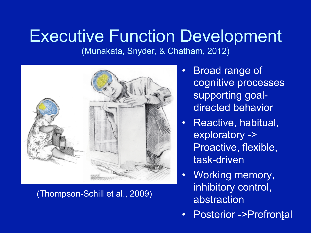### Executive Function Development

(Munakata, Snyder, & Chatham, 2012)



(Thompson-Schill et al., 2009)

- Broad range of cognitive processes supporting goaldirected behavior
- Reactive, habitual, exploratory -> Proactive, flexible, task-driven
- Working memory, inhibitory control, abstraction
- Posterior ->Prefrontal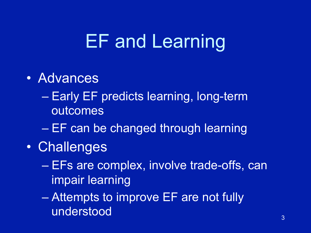- Early EF predicts learning, long-term outcomes
- EF can be changed through learning
- Challenges
	- EFs are complex, involve trade-offs, can impair learning
	- Attempts to improve EF are not fully understood and a series of the series of the series of the series of the series of the series of the series of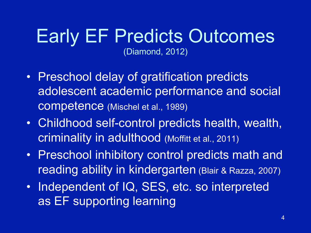### Early EF Predicts Outcomes (Diamond, 2012)

- Preschool delay of gratification predicts adolescent academic performance and social competence (Mischel et al., 1989)
- Childhood self-control predicts health, wealth, criminality in adulthood (Moffitt et al., 2011)
- Preschool inhibitory control predicts math and reading ability in kindergarten (Blair & Razza, 2007)
- Independent of IQ, SES, etc. so interpreted as EF supporting learning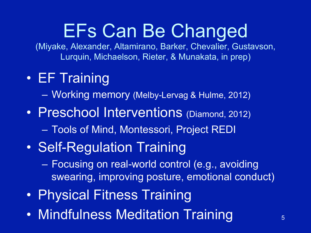## EFs Can Be Changed

(Miyake, Alexander, Altamirano, Barker, Chevalier, Gustavson, Lurquin, Michaelson, Rieter, & Munakata, in prep)

• EF Training

– Working memory (Melby-Lervag & Hulme, 2012)

- Preschool Interventions (Diamond, 2012) – Tools of Mind, Montessori, Project REDI
- Self-Regulation Training

– Focusing on real-world control (e.g., avoiding swearing, improving posture, emotional conduct)

- Physical Fitness Training
- Mindfulness Meditation Training 5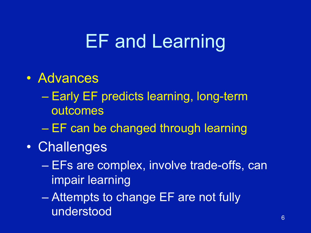- Early EF predicts learning, long-term outcomes
- EF can be changed through learning
- Challenges
	- EFs are complex, involve trade-offs, can impair learning
	- Attempts to change EF are not fully understood and the state of  $\overline{6}$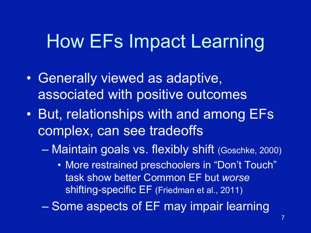## How EFs Impact Learning

- Generally viewed as adaptive, associated with positive outcomes
- But, relationships with and among EFs complex, can see tradeoffs
	- Maintain goals vs. flexibly shift (Goschke, 2000)
		- More restrained preschoolers in "Don't Touch" task show better Common EF but *worse* shifting-specific EF (Friedman et al., 2011)
	- Some aspects of EF may impair learning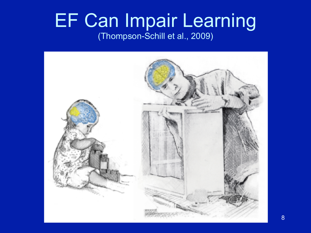### EF Can Impair Learning (Thompson-Schill et al., 2009)

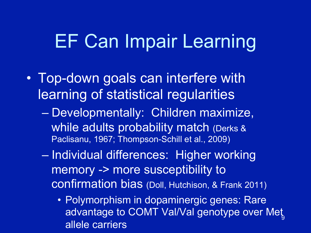### EF Can Impair Learning

- Top-down goals can interfere with learning of statistical regularities
	- Developmentally: Children maximize, while adults probability match (Derks & Paclisanu, 1967; Thompson-Schill et al., 2009)
	- Individual differences: Higher working memory -> more susceptibility to confirmation bias (Doll, Hutchison, & Frank 2011)
		- Polymorphism in dopaminergic genes: Rare advantage to COMT Val/Val genotype over Met allele carriers <u>ج</u>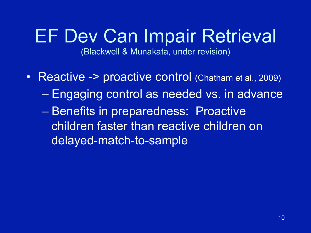# EF Dev Can Impair Retrieval

(Blackwell & Munakata, under revision)

• Reactive -> proactive control (Chatham et al., 2009) – Engaging control as needed vs. in advance – Benefits in preparedness: Proactive children faster than reactive children on delayed-match-to-sample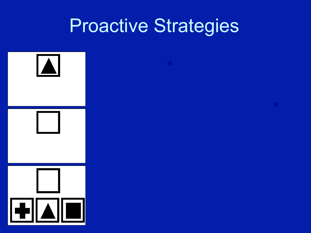## Proactive Strategies

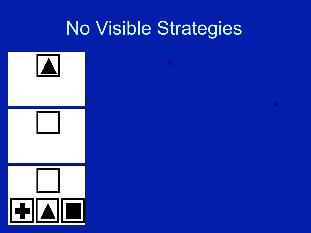## No Visible Strategies

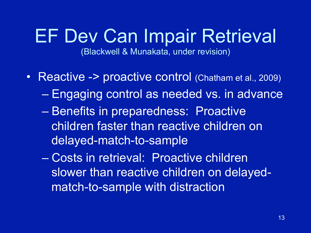# EF Dev Can Impair Retrieval

(Blackwell & Munakata, under revision)

- Reactive -> proactive control (Chatham et al., 2009) – Engaging control as needed vs. in advance – Benefits in preparedness: Proactive children faster than reactive children on delayed-match-to-sample
	- Costs in retrieval: Proactive children slower than reactive children on delayedmatch-to-sample with distraction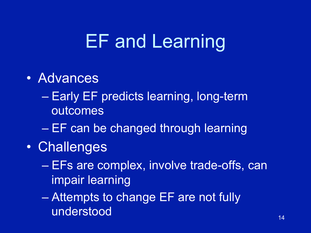- Early EF predicts learning, long-term outcomes
- EF can be changed through learning
- Challenges
	- EFs are complex, involve trade-offs, can impair learning
	- Attempts to change EF are not fully understood and the state of the state  $^{14}$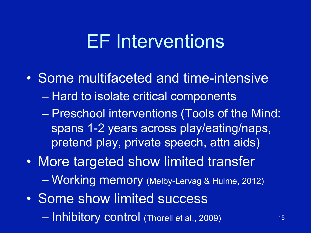## EF Interventions

- Some multifaceted and time-intensive
	- Hard to isolate critical components
	- Preschool interventions (Tools of the Mind: spans 1-2 years across play/eating/naps, pretend play, private speech, attn aids)
- More targeted show limited transfer – Working memory (Melby-Lervag & Hulme, 2012)
- Some show limited success – Inhibitory control (Thorell et al., 2009) 15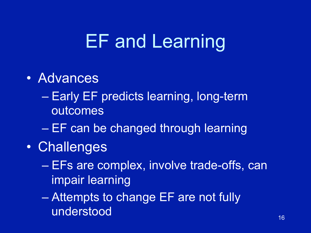- Early EF predicts learning, long-term outcomes
- EF can be changed through learning
- Challenges
	- EFs are complex, involve trade-offs, can impair learning
	- Attempts to change EF are not fully understood and the state of the state  $^{16}$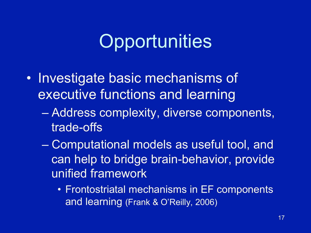## **Opportunities**

- Investigate basic mechanisms of executive functions and learning
	- Address complexity, diverse components, trade-offs
	- Computational models as useful tool, and can help to bridge brain-behavior, provide unified framework
		- Frontostriatal mechanisms in EF components and learning (Frank & O'Reilly, 2006)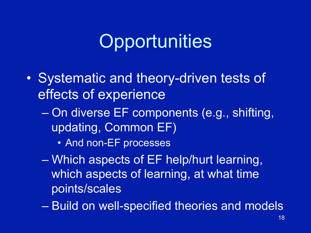## **Opportunities**

- Systematic and theory-driven tests of effects of experience
	- On diverse EF components (e.g., shifting, updating, Common EF)
		- And non-EF processes
	- Which aspects of EF help/hurt learning, which aspects of learning, at what time points/scales
	- Build on well-specified theories and models